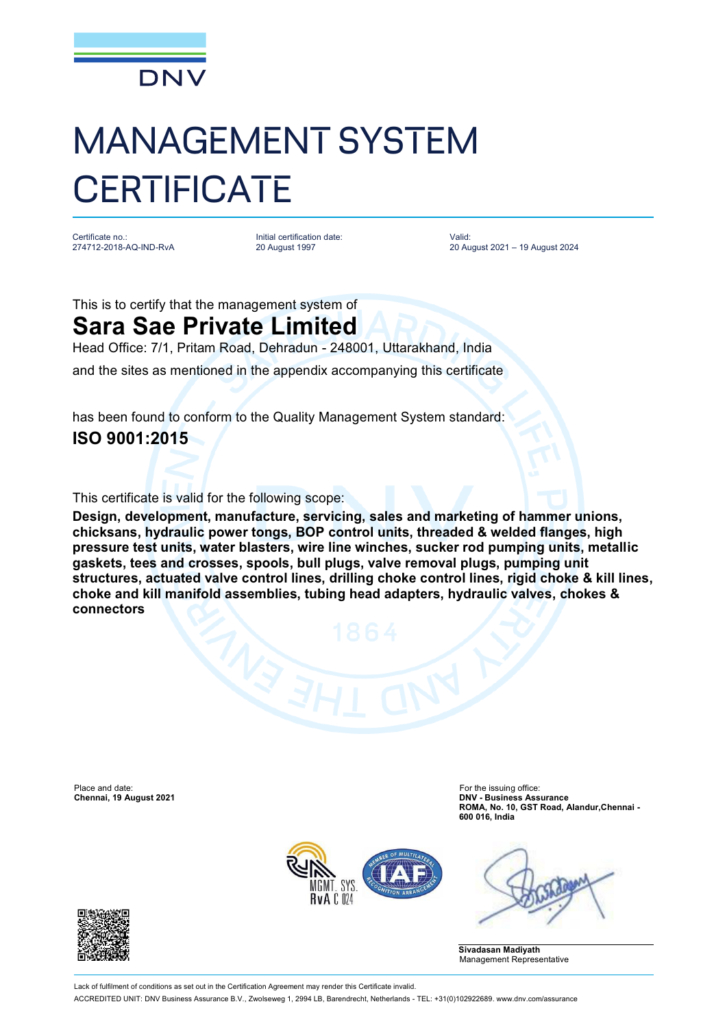

## MANAGEMENT SYSTEM **CERTIFICATE**

Certificate no.: 274712-2018-AQ-IND-RvA Initial certification date: 20 August 1997

Valid: 20 August 2021 – 19 August 2024

This is to certify that the management system of

## **Sara Sae Private Limited**

Head Office: 7/1, Pritam Road, Dehradun - 248001, Uttarakhand, India and the sites as mentioned in the appendix accompanying this certificate

has been found to conform to the Quality Management System standard: **ISO 9001:2015**

This certificate is valid for the following scope:

**Design, development, manufacture, servicing, sales and marketing of hammer unions, chicksans, hydraulic power tongs, BOP control units, threaded & welded flanges, high pressure test units, water blasters, wire line winches, sucker rod pumping units, metallic gaskets, tees and crosses, spools, bull plugs, valve removal plugs, pumping unit structures, actuated valve control lines, drilling choke control lines, rigid choke & kill lines, choke and kill manifold assemblies, tubing head adapters, hydraulic valves, chokes & connectors**

Place and date: For the issuing office:<br> **Chennai, 19 August 2021** Chennai, 19 August 2021

**Chennai, 19 August 2021 DNV - Business Assurance ROMA, No. 10, GST Road, Alandur,Chennai - 600 016, India**